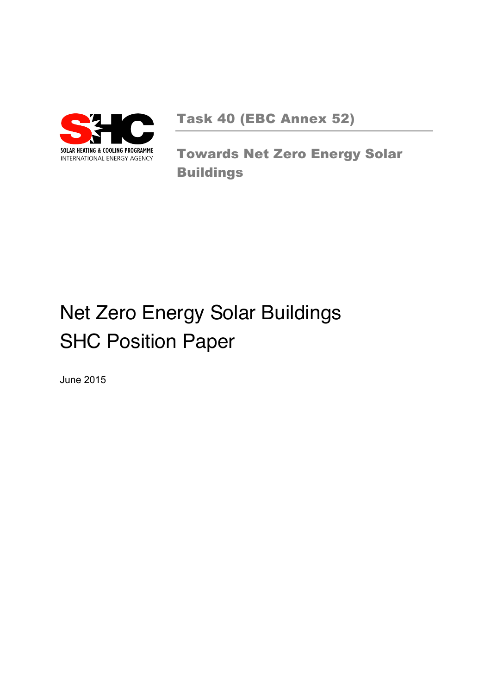

Task 40 (EBC Annex 52)

Towards Net Zero Energy Solar Buildings

# Net Zero Energy Solar Buildings SHC Position Paper

June 2015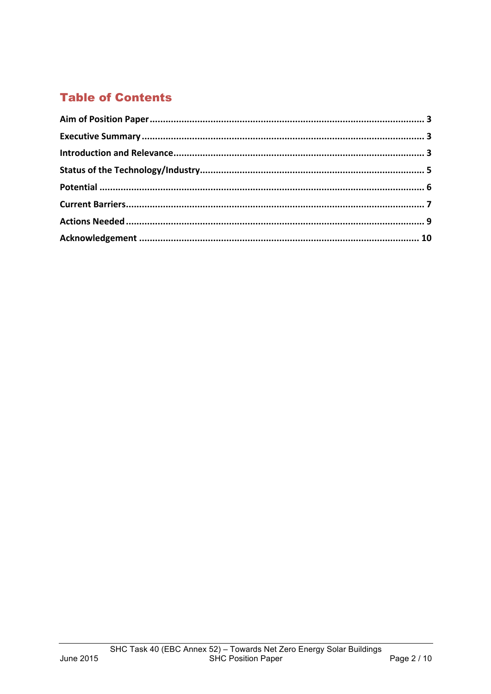# **Table of Contents**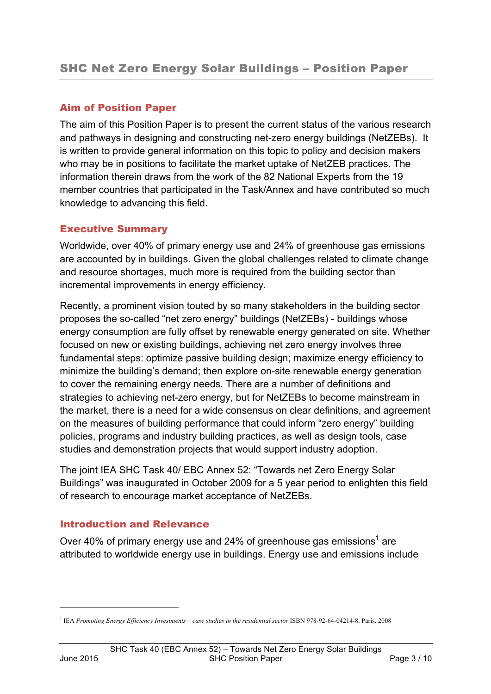## Aim of Position Paper

The aim of this Position Paper is to present the current status of the various research and pathways in designing and constructing net-zero energy buildings (NetZEBs). It is written to provide general information on this topic to policy and decision makers who may be in positions to facilitate the market uptake of NetZEB practices. The information therein draws from the work of the 82 National Experts from the 19 member countries that participated in the Task/Annex and have contributed so much knowledge to advancing this field.

## Executive Summary

Worldwide, over 40% of primary energy use and 24% of greenhouse gas emissions are accounted by in buildings. Given the global challenges related to climate change and resource shortages, much more is required from the building sector than incremental improvements in energy efficiency.

Recently, a prominent vision touted by so many stakeholders in the building sector proposes the so-called "net zero energy" buildings (NetZEBs) - buildings whose energy consumption are fully offset by renewable energy generated on site. Whether focused on new or existing buildings, achieving net zero energy involves three fundamental steps: optimize passive building design; maximize energy efficiency to minimize the building's demand; then explore on-site renewable energy generation to cover the remaining energy needs. There are a number of definitions and strategies to achieving net-zero energy, but for NetZEBs to become mainstream in the market, there is a need for a wide consensus on clear definitions, and agreement on the measures of building performance that could inform "zero energy" building policies, programs and industry building practices, as well as design tools, case studies and demonstration projects that would support industry adoption.

The joint IEA SHC Task 40/ EBC Annex 52: "Towards net Zero Energy Solar Buildings" was inaugurated in October 2009 for a 5 year period to enlighten this field of research to encourage market acceptance of NetZEBs.

## Introduction and Relevance

Over 40% of primary energy use and 24% of greenhouse gas emissions<sup>1</sup> are attributed to worldwide energy use in buildings. Energy use and emissions include

<sup>1</sup> IEA *Promoting Energy Efficiency Investments – case studies in the residential sector* ISBN 978-92-64-04214-8. Paris. 2008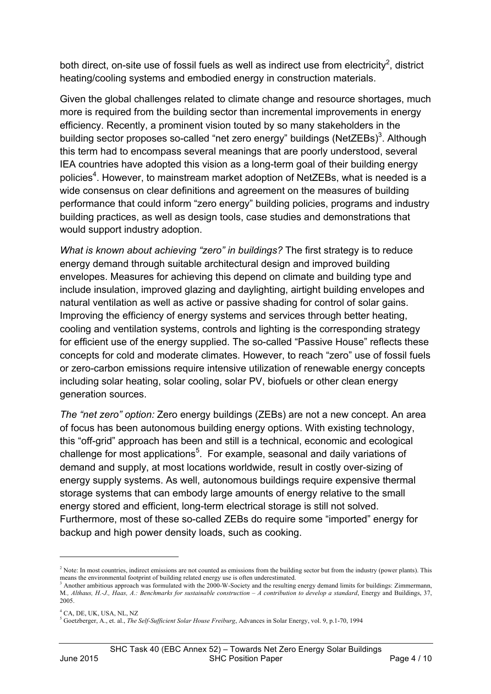both direct, on-site use of fossil fuels as well as indirect use from electricity<sup>2</sup>, district heating/cooling systems and embodied energy in construction materials.

Given the global challenges related to climate change and resource shortages, much more is required from the building sector than incremental improvements in energy efficiency. Recently, a prominent vision touted by so many stakeholders in the building sector proposes so-called "net zero energy" buildings (NetZEBs)<sup>3</sup>. Although this term had to encompass several meanings that are poorly understood, several IEA countries have adopted this vision as a long-term goal of their building energy policies<sup>4</sup>. However, to mainstream market adoption of NetZEBs, what is needed is a wide consensus on clear definitions and agreement on the measures of building performance that could inform "zero energy" building policies, programs and industry building practices, as well as design tools, case studies and demonstrations that would support industry adoption.

*What is known about achieving "zero" in buildings?* The first strategy is to reduce energy demand through suitable architectural design and improved building envelopes. Measures for achieving this depend on climate and building type and include insulation, improved glazing and daylighting, airtight building envelopes and natural ventilation as well as active or passive shading for control of solar gains. Improving the efficiency of energy systems and services through better heating, cooling and ventilation systems, controls and lighting is the corresponding strategy for efficient use of the energy supplied. The so-called "Passive House" reflects these concepts for cold and moderate climates. However, to reach "zero" use of fossil fuels or zero-carbon emissions require intensive utilization of renewable energy concepts including solar heating, solar cooling, solar PV, biofuels or other clean energy generation sources.

*The "net zero" option:* Zero energy buildings (ZEBs) are not a new concept. An area of focus has been autonomous building energy options. With existing technology, this "off-grid" approach has been and still is a technical, economic and ecological challenge for most applications<sup>5</sup>. For example, seasonal and daily variations of demand and supply, at most locations worldwide, result in costly over-sizing of energy supply systems. As well, autonomous buildings require expensive thermal storage systems that can embody large amounts of energy relative to the small energy stored and efficient, long-term electrical storage is still not solved. Furthermore, most of these so-called ZEBs do require some "imported" energy for backup and high power density loads, such as cooking.

l

 $<sup>2</sup>$  Note: In most countries, indirect emissions are not counted as emissions from the building sector but from the industry (power plants). This</sup> means the environmental footprint of building related energy use is often underestimated.

 $3$  Another ambitious approach was formulated with the 2000-W-Society and the resulting energy demand limits for buildings: Zimmermann, M*., Althaus, H.-J., Haas, A.: Benchmarks for sustainable construction – A contribution to develop a standard*, Energy and Buildings, 37, 2005.

<sup>4</sup> CA, DE, UK, USA, NL, NZ

<sup>5</sup> Goetzberger, A., et. al., *The Self-Sufficient Solar House Freiburg*, Advances in Solar Energy, vol. 9, p.1-70, 1994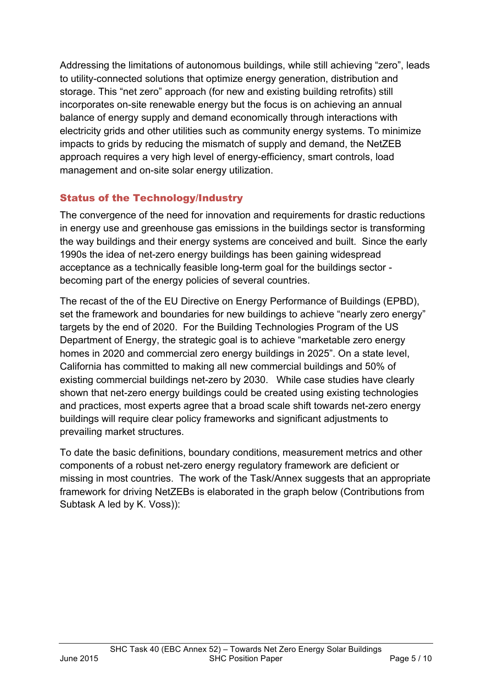Addressing the limitations of autonomous buildings, while still achieving "zero", leads to utility-connected solutions that optimize energy generation, distribution and storage. This "net zero" approach (for new and existing building retrofits) still incorporates on-site renewable energy but the focus is on achieving an annual balance of energy supply and demand economically through interactions with electricity grids and other utilities such as community energy systems. To minimize impacts to grids by reducing the mismatch of supply and demand, the NetZEB approach requires a very high level of energy-efficiency, smart controls, load management and on-site solar energy utilization.

## Status of the Technology/Industry

The convergence of the need for innovation and requirements for drastic reductions in energy use and greenhouse gas emissions in the buildings sector is transforming the way buildings and their energy systems are conceived and built. Since the early 1990s the idea of net-zero energy buildings has been gaining widespread acceptance as a technically feasible long-term goal for the buildings sector becoming part of the energy policies of several countries.

The recast of the of the EU Directive on Energy Performance of Buildings (EPBD), set the framework and boundaries for new buildings to achieve "nearly zero energy" targets by the end of 2020. For the Building Technologies Program of the US Department of Energy, the strategic goal is to achieve "marketable zero energy homes in 2020 and commercial zero energy buildings in 2025". On a state level, California has committed to making all new commercial buildings and 50% of existing commercial buildings net-zero by 2030. While case studies have clearly shown that net-zero energy buildings could be created using existing technologies and practices, most experts agree that a broad scale shift towards net-zero energy buildings will require clear policy frameworks and significant adjustments to prevailing market structures.

To date the basic definitions, boundary conditions, measurement metrics and other components of a robust net-zero energy regulatory framework are deficient or missing in most countries. The work of the Task/Annex suggests that an appropriate framework for driving NetZEBs is elaborated in the graph below (Contributions from Subtask A led by K. Voss)):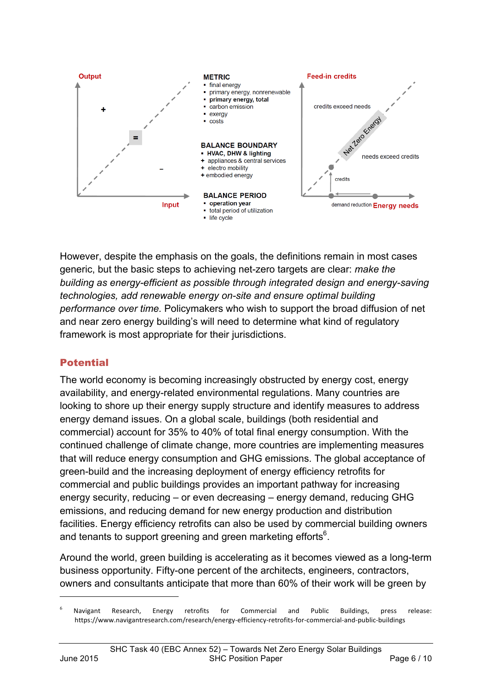

However, despite the emphasis on the goals, the definitions remain in most cases generic, but the basic steps to achieving net-zero targets are clear: *make the building as energy-efficient as possible through integrated design and energy-saving technologies, add renewable energy on-site and ensure optimal building performance over time.* Policymakers who wish to support the broad diffusion of net and near zero energy building's will need to determine what kind of regulatory framework is most appropriate for their jurisdictions.

## Potential

The world economy is becoming increasingly obstructed by energy cost, energy availability, and energy-related environmental regulations. Many countries are looking to shore up their energy supply structure and identify measures to address energy demand issues. On a global scale, buildings (both residential and commercial) account for 35% to 40% of total final energy consumption. With the continued challenge of climate change, more countries are implementing measures that will reduce energy consumption and GHG emissions. The global acceptance of green-build and the increasing deployment of energy efficiency retrofits for commercial and public buildings provides an important pathway for increasing energy security, reducing – or even decreasing – energy demand, reducing GHG emissions, and reducing demand for new energy production and distribution facilities. Energy efficiency retrofits can also be used by commercial building owners and tenants to support greening and green marketing efforts $6$ .

Around the world, green building is accelerating as it becomes viewed as a long-term business opportunity. Fifty-one percent of the architects, engineers, contractors, owners and consultants anticipate that more than 60% of their work will be green by

Navigant Research, Energy retrofits for Commercial and Public Buildings, press release: https://www.navigantresearch.com/research/energy-efficiency-retrofits-for-commercial-and-public-buildings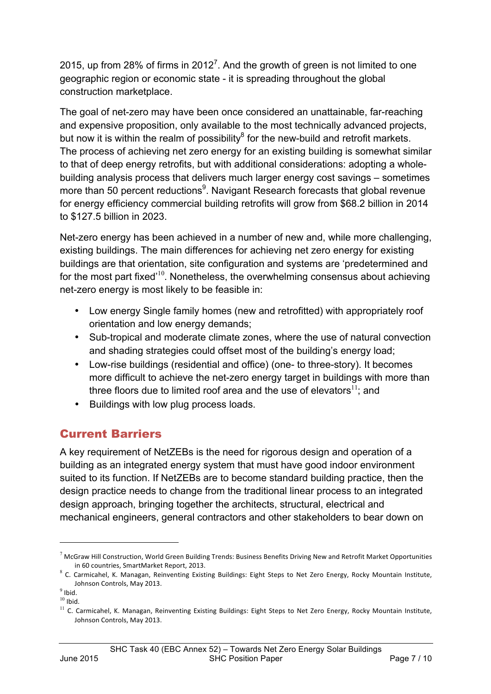2015, up from 28% of firms in 2012<sup>7</sup>. And the growth of green is not limited to one geographic region or economic state - it is spreading throughout the global construction marketplace.

The goal of net-zero may have been once considered an unattainable, far-reaching and expensive proposition, only available to the most technically advanced projects, but now it is within the realm of possibility $\delta$  for the new-build and retrofit markets. The process of achieving net zero energy for an existing building is somewhat similar to that of deep energy retrofits, but with additional considerations: adopting a wholebuilding analysis process that delivers much larger energy cost savings – sometimes more than 50 percent reductions<sup>9</sup>. Navigant Research forecasts that global revenue for energy efficiency commercial building retrofits will grow from \$68.2 billion in 2014 to \$127.5 billion in 2023.

Net-zero energy has been achieved in a number of new and, while more challenging, existing buildings. The main differences for achieving net zero energy for existing buildings are that orientation, site configuration and systems are 'predetermined and for the most part fixed<sup> $10$ </sup>. Nonetheless, the overwhelming consensus about achieving net-zero energy is most likely to be feasible in:

- Low energy Single family homes (new and retrofitted) with appropriately roof orientation and low energy demands;
- Sub-tropical and moderate climate zones, where the use of natural convection and shading strategies could offset most of the building's energy load;
- Low-rise buildings (residential and office) (one- to three-story). It becomes more difficult to achieve the net-zero energy target in buildings with more than three floors due to limited roof area and the use of elevators<sup>11</sup>; and
- Buildings with low plug process loads.

## Current Barriers

A key requirement of NetZEBs is the need for rigorous design and operation of a building as an integrated energy system that must have good indoor environment suited to its function. If NetZEBs are to become standard building practice, then the design practice needs to change from the traditional linear process to an integrated design approach, bringing together the architects, structural, electrical and mechanical engineers, general contractors and other stakeholders to bear down on

 $^7$  McGraw Hill Construction, World Green Building Trends: Business Benefits Driving New and Retrofit Market Opportunities in 60 countries, SmartMarket Report, 2013.

 $8$  C. Carmicahel, K. Managan, Reinventing Existing Buildings: Eight Steps to Net Zero Energy, Rocky Mountain Institute, Johnson Controls, May 2013. 

 $9$  Ibid.

 $10$  Ibid.

 $11$  C. Carmicahel, K. Managan, Reinventing Existing Buildings: Eight Steps to Net Zero Energy, Rocky Mountain Institute, Johnson Controls, May 2013.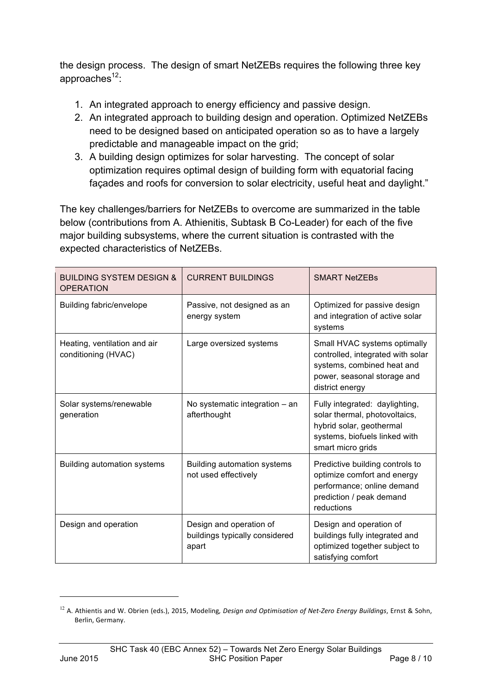the design process. The design of smart NetZEBs requires the following three key approaches $12$ :

- 1. An integrated approach to energy efficiency and passive design.
- 2. An integrated approach to building design and operation. Optimized NetZEBs need to be designed based on anticipated operation so as to have a largely predictable and manageable impact on the grid;
- 3. A building design optimizes for solar harvesting. The concept of solar optimization requires optimal design of building form with equatorial facing façades and roofs for conversion to solar electricity, useful heat and daylight."

The key challenges/barriers for NetZEBs to overcome are summarized in the table below (contributions from A. Athienitis, Subtask B Co-Leader) for each of the five major building subsystems, where the current situation is contrasted with the expected characteristics of NetZEBs.

| <b>BUILDING SYSTEM DESIGN &amp;</b><br><b>OPERATION</b> | <b>CURRENT BUILDINGS</b>                                           | <b>SMART NetZEBs</b>                                                                                                                              |
|---------------------------------------------------------|--------------------------------------------------------------------|---------------------------------------------------------------------------------------------------------------------------------------------------|
| <b>Building fabric/envelope</b>                         | Passive, not designed as an<br>energy system                       | Optimized for passive design<br>and integration of active solar<br>systems                                                                        |
| Heating, ventilation and air<br>conditioning (HVAC)     | Large oversized systems                                            | Small HVAC systems optimally<br>controlled, integrated with solar<br>systems, combined heat and<br>power, seasonal storage and<br>district energy |
| Solar systems/renewable<br>generation                   | No systematic integration - an<br>afterthought                     | Fully integrated: daylighting,<br>solar thermal, photovoltaics,<br>hybrid solar, geothermal<br>systems, biofuels linked with<br>smart micro grids |
| Building automation systems                             | <b>Building automation systems</b><br>not used effectively         | Predictive building controls to<br>optimize comfort and energy<br>performance; online demand<br>prediction / peak demand<br>reductions            |
| Design and operation                                    | Design and operation of<br>buildings typically considered<br>apart | Design and operation of<br>buildings fully integrated and<br>optimized together subject to<br>satisfying comfort                                  |

<sup>&</sup>lt;sup>12</sup> A. Athientis and W. Obrien (eds.), 2015, Modeling, Design and Optimisation of Net-Zero Energy Buildings, Ernst & Sohn, Berlin, Germany.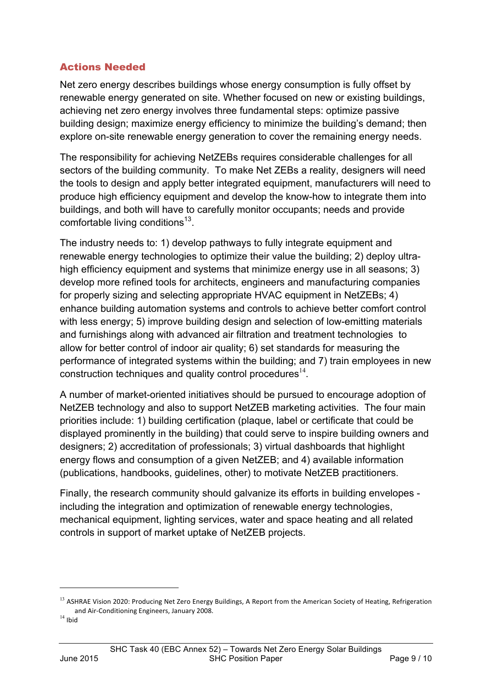## Actions Needed

Net zero energy describes buildings whose energy consumption is fully offset by renewable energy generated on site. Whether focused on new or existing buildings, achieving net zero energy involves three fundamental steps: optimize passive building design; maximize energy efficiency to minimize the building's demand; then explore on-site renewable energy generation to cover the remaining energy needs.

The responsibility for achieving NetZEBs requires considerable challenges for all sectors of the building community. To make Net ZEBs a reality, designers will need the tools to design and apply better integrated equipment, manufacturers will need to produce high efficiency equipment and develop the know-how to integrate them into buildings, and both will have to carefully monitor occupants; needs and provide comfortable living conditions $^{13}$ .

The industry needs to: 1) develop pathways to fully integrate equipment and renewable energy technologies to optimize their value the building; 2) deploy ultrahigh efficiency equipment and systems that minimize energy use in all seasons; 3) develop more refined tools for architects, engineers and manufacturing companies for properly sizing and selecting appropriate HVAC equipment in NetZEBs; 4) enhance building automation systems and controls to achieve better comfort control with less energy; 5) improve building design and selection of low-emitting materials and furnishings along with advanced air filtration and treatment technologies to allow for better control of indoor air quality; 6) set standards for measuring the performance of integrated systems within the building; and 7) train employees in new construction techniques and quality control procedures<sup>14</sup>.

A number of market-oriented initiatives should be pursued to encourage adoption of NetZEB technology and also to support NetZEB marketing activities. The four main priorities include: 1) building certification (plaque, label or certificate that could be displayed prominently in the building) that could serve to inspire building owners and designers; 2) accreditation of professionals; 3) virtual dashboards that highlight energy flows and consumption of a given NetZEB; and 4) available information (publications, handbooks, guidelines, other) to motivate NetZEB practitioners.

Finally, the research community should galvanize its efforts in building envelopes including the integration and optimization of renewable energy technologies, mechanical equipment, lighting services, water and space heating and all related controls in support of market uptake of NetZEB projects.

l

 $^{13}$  ASHRAE Vision 2020: Producing Net Zero Energy Buildings, A Report from the American Society of Heating, Refrigeration and Air-Conditioning Engineers, January 2008.

 $14$  Ibid